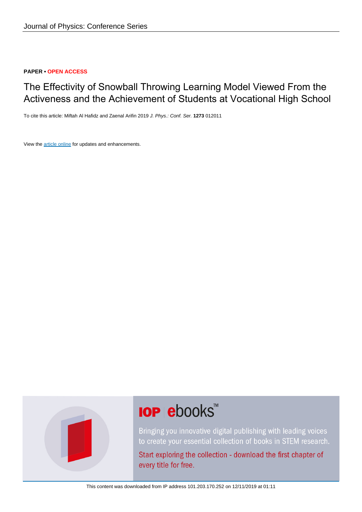#### **PAPER • OPEN ACCESS**

# The Effectivity of Snowball Throwing Learning Model Viewed From the Activeness and the Achievement of Students at Vocational High School

To cite this article: Miftah Al Hafidz and Zaenal Arifin 2019 J. Phys.: Conf. Ser. **1273** 012011

View the [article online](https://doi.org/10.1088/1742-6596/1273/1/012011) for updates and enhancements.



# **IOP ebooks™**

Bringing you innovative digital publishing with leading voices to create your essential collection of books in STEM research.

Start exploring the collection - download the first chapter of every title for free.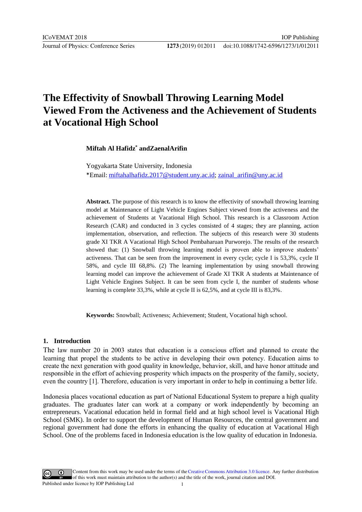# **The Effectivity of Snowball Throwing Learning Model Viewed From the Activeness and the Achievement of Students at Vocational High School**

#### **Miftah Al Hafidz\* andZaenalArifin**

Yogyakarta State University, Indonesia \*Email: miftahalhafidz.2017@student.uny.ac.id; zainal\_arifin@uny.ac.id

**Abstract.** [The purpose of this research is to know the](mailto:miftahalhafidz.2017@student.uny.ac.id) [effectivity of snowball thro](mailto:zainal_arifin@uny.ac.id)wing learning model at Maintenance of Light Vehicle Engines Subject viewed from the activeness and the achievement of Students at Vacational High School. This research is a Classroom Action Research (CAR) and conducted in 3 cycles consisted of 4 stages; they are planning, action implementation, observation, and reflection. The subjects of this research were 30 students grade XI TKR A Vacational High School Pembaharuan Purworejo. The results of the research showed that: (1) Snowball throwing learning model is proven able to improve students' activeness. That can be seen from the improvement in every cycle; cycle I is 53,3%, cycle II 58%, and cycle III 68,8%. (2) The learning implementation by using snowball throwing learning model can improve the achievement of Grade XI TKR A students at Maintenance of Light Vehicle Engines Subject. It can be seen from cycle I, the number of students whose learning is complete 33,3%, while at cycle II is 62,5%, and at cycle III is 83,3%.

**Keywords:** Snowball; Activeness; Achievement; Student, Vocational high school.

#### **1. Introduction**

The law number 20 in 2003 states that education is a conscious effort and planned to create the learning that propel the students to be active in developing their own potency. Education aims to create the next generation with good quality in knowledge, behavior, skill, and have honor attitude and responsible in the effort of achieving prosperity which impacts on the prosperity of the family, society, even the country [1]. Therefore, education is very important in order to help in continuing a better life.

Indonesia places vocational education as part of National Educational System to prepare a high quality graduates. The graduates later can work at a company or work independently by becoming an entrepreneurs. Vacational education held in formal field and at high school level is Vacational High School (SMK). In order to support the development of Human Resources, the central government and regional government had done the efforts in enhancing the quality of education at Vacational High School. One of the problems faced in Indonesia education is the low quality of education in Indonesia.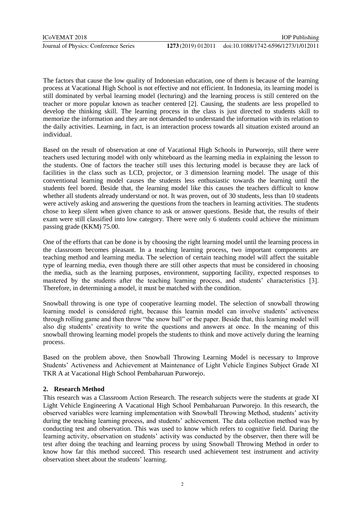The factors that cause the low quality of Indonesian education, one of them is because of the learning process at Vacational High School is not effective and not efficient. In Indonesia, its learning model is still dominated by verbal learning model (lecturing) and the learning process is still centered on the teacher or more popular known as teacher centered [2]. Causing, the students are less propelled to develop the thinking skill. The learning process in the class is just directed to students skill to memorize the information and they are not demanded to understand the information with its relation to the daily activities. Learning, in fact, is an interaction process towards all situation existed around an individual.

Based on the result of observation at one of Vacational High Schools in Purworejo, still there were teachers used lecturing model with only whiteboard as the learning media in explaining the lesson to the students. One of factors the teacher still uses this lecturing model is because they are lack of facilities in the class such as LCD, projector, or 3 dimension learning model. The usage of this conventional learning model causes the students less enthusiastic towards the learning until the students feel bored. Beside that, the learning model like this causes the teachers difficult to know whether all students already understand or not. It was proven, out of 30 students, less than 10 students were actively asking and answering the questions from the teachers in learning activities. The students chose to keep silent when given chance to ask or answer questions. Beside that, the results of their exam were still classified into low category. There were only 6 students could achieve the minimum passing grade (KKM) 75.00.

One of the efforts that can be done is by choosing the right learning model until the learning process in the classroom becomes pleasant. In a teaching learning process, two important components are teaching method and learning media. The selection of certain teaching model will affect the suitable type of learning media, even though there are still other aspects that must be considered in choosing the media, such as the learning purposes, environment, supporting facility, expected responses to mastered by the students after the teaching learning process, and students' characteristics [3]. Therefore, in determining a model, it must be matched with the condition.

Snowball throwing is one type of cooperative learning model. The selection of snowball throwing learning model is considered right, because this learnin model can involve students' activeness through rolling game and then throw "the snow ball" or the paper. Beside that, this learning model will also dig students' creativity to write the questions and answers at once. In the meaning of this snowball throwing learning model propels the students to think and move actively during the learning process.

Based on the problem above, then Snowball Throwing Learning Model is necessary to Improve Students' Activeness and Achievement at Maintenance of Light Vehicle Engines Subject Grade XI TKR A at Vacational High School Pembaharuan Purworejo.

# **2. Research Method**

This research was a Classroom Action Research. The research subjects were the students at grade XI Light Vehicle Engineering A Vacational High School Pembaharuan Purworejo. In this research, the observed variables were learning implementation with Snowball Throwing Method, students' activity during the teaching learning process, and students' achievement. The data collection method was by conducting test and observation. This was used to know which refers to cognitive field. During the learning activity, observation on students' activity was conducted by the observer, then there will be test after doing the teaching and learning process by using Snowball Throwing Method in order to know how far this method succeed. This research used achievement test instrument and activity observation sheet about the students' learning.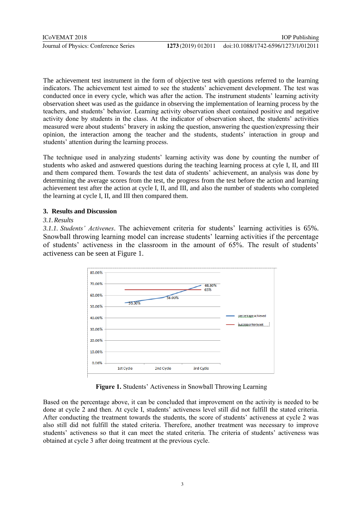The achievement test instrument in the form of objective test with questions referred to the learning indicators. The achievement test aimed to see the students' achievement development. The test was conducted once in every cycle, which was after the action. The instrument students' learning activity observation sheet was used as the guidance in observing the implementation of learning process by the teachers, and students' behavior. Learning activity observation sheet contained positive and negative activity done by students in the class. At the indicator of observation sheet, the students' activities measured were about students' bravery in asking the question, answering the question/expressing their opinion, the interaction among the teacher and the students, students' interaction in group and students' attention during the learning process.

The technique used in analyzing students' learning activity was done by counting the number of students who asked and asnwered questions during the teaching learning process at cyle I, II, and III and them compared them. Towards the test data of students' achievement, an analysis was done by determining the average scores from the test, the progress from the test before the action and learning achievement test after the action at cycle I, II, and III, and also the number of students who completed the learning at cycle I, II, and III then compared them.

# **3. Results and Discussion**

# *3.1.Results*

*3.1.1. Students' Activenes*. The achievement criteria for students' learning activities is 65%. Snowball throwing learning model can increase students' learning activities if the percentage of students' activeness in the classroom in the amount of 65%. The result of students' activeness can be seen at Figure 1.



**Figure 1.** Students' Activeness in Snowball Throwing Learning

Based on the percentage above, it can be concluded that improvement on the activity is needed to be done at cycle 2 and then. At cycle I, students' activeness level still did not fulfill the stated criteria. After conducting the treatment towards the students, the score of students' activeness at cycle 2 was also still did not fulfill the stated criteria. Therefore, another treatment was necessary to improve students' activeness so that it can meet the stated criteria. The criteria of students' activeness was obtained at cycle 3 after doing treatment at the previous cycle.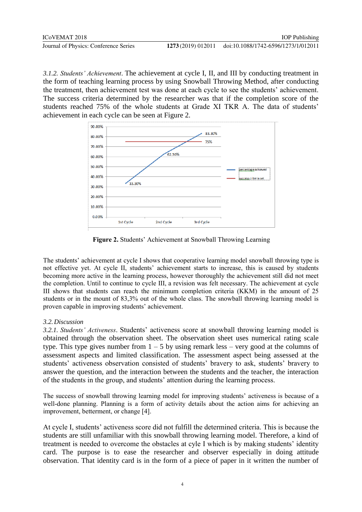*3.1.2. Students' Achievement*. The achievement at cycle I, II, and III by conducting treatment in the form of teaching learning process by using Snowball Throwing Method, after conducting the treatment, then achievement test was done at each cycle to see the students' achievement. The success criteria determined by the researcher was that if the completion score of the students reached 75% of the whole students at Grade XI TKR A. The data of students' achievement in each cycle can be seen at Figure 2.



**Figure 2.** Students' Achievement at Snowball Throwing Learning

The students' achievement at cycle I shows that cooperative learning model snowball throwing type is not effective yet. At cycle II, students' achievement starts to increase, this is caused by students becoming more active in the learning process, however thoroughly the achievement still did not meet the completion. Until to continue to cycle III, a revision was felt necessary. The achievement at cycle III shows that students can reach the minimum completion criteria (KKM) in the amount of 25 students or in the mount of 83,3% out of the whole class. The snowball throwing learning model is proven capable in improving students' achievement.

# *3.2.Discussion*

*3.2.1. Students' Activeness*. Students' activeness score at snowball throwing learning model is obtained through the observation sheet. The observation sheet uses numerical rating scale type. This type gives number from  $1 - 5$  by using remark less – very good at the columns of assessment aspects and limited classification. The assessment aspect being assessed at the students' activeness observation consisted of students' bravery to ask, students' bravery to answer the question, and the interaction between the students and the teacher, the interaction of the students in the group, and students' attention during the learning process.

The success of snowball throwing learning model for improving students' activeness is because of a well-done planning. Planning is a form of activity details about the action aims for achieving an improvement, betterment, or change [4].

At cycle I, students' activeness score did not fulfill the determined criteria. This is because the students are still unfamiliar with this snowball throwing learning model. Therefore, a kind of treatment is needed to overcome the obstacles at cyle I which is by making students' identity card. The purpose is to ease the researcher and observer especially in doing attitude observation. That identity card is in the form of a piece of paper in it written the number of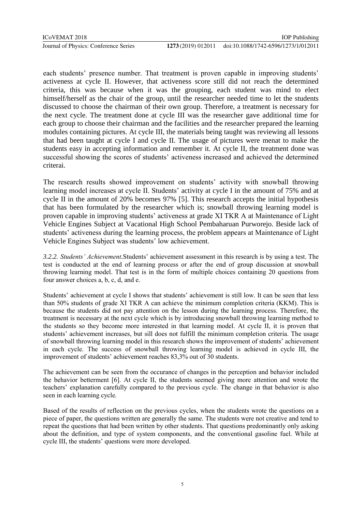each students' presence number. That treatment is proven capable in improving students' activeness at cycle II. However, that activeness score still did not reach the determined criteria, this was because when it was the grouping, each student was mind to elect himself/herself as the chair of the group, until the researcher needed time to let the students discussed to choose the chairman of their own group. Therefore, a treatment is necessary for the next cycle. The treatment done at cycle III was the researcher gave additional time for each group to choose their chairman and the facilities and the researcher prepared the learning modules containing pictures. At cycle III, the materials being taught was reviewing all lessons that had been taught at cycle I and cycle II. The usage of pictures were menat to make the students easy in accepting information and remember it. At cycle II, the treatment done was successful showing the scores of students' activeness increased and achieved the determined criterai.

The research results showed improvement on students' activity with snowball throwing learning model increases at cycle II. Students' activity at cycle I in the amount of 75% and at cycle II in the amount of 20% becomes 97% [5]. This research accepts the initial hypothesis that has been formulated by the researcher which is; snowball throwing learning model is proven capable in improving students' activeness at grade XI TKR A at Maintenance of Light Vehicle Engines Subject at Vacational High School Pembaharuan Purworejo. Beside lack of students' activeness during the learning process, the problem appears at Maintenance of Light Vehicle Engines Subject was students' low achievement.

*3.2.2. Students' Achievement*.Students' achievement assessment in this research is by using a test. The test is conducted at the end of learning process or after the end of group discussion at snowball throwing learning model. That test is in the form of multiple choices containing 20 questions from four answer choices a, b, c, d, and e.

Students' achievement at cycle I shows that students' achievement is still low. It can be seen that less than 50% students of grade XI TKR A can achieve the minimum completion criteria (KKM). This is because the students did not pay attention on the lesson during the learning process. Therefore, the treatment is necessary at the next cycle which is by introducing snowball throwing learning method to the students so they become more interested in that learning model. At cycle II, it is proven that students' achievement increases, but sill does not fulfill the minimum completion criteria. The usage of snowball throwing learning model in this research shows the improvement of students' achievement in each cycle. The success of snowball throwing learning model is achieved in cycle III, the improvement of students' achievement reaches 83,3% out of 30 students.

The achievement can be seen from the occurance of changes in the perception and behavior included the behavior betterment [6]. At cycle II, the students seemed giving more attention and wrote the teachers' explanation carefully compared to the previous cycle. The change in that behavior is also seen in each learning cycle.

Based of the results of reflection on the previous cycles, when the students wrote the questions on a piece of paper, the questions written are generally the same. The students were not creative and tend to repeat the questions that had been written by other students. That questions predominantly only asking about the definition, and type of system components, and the conventional gasoline fuel. While at cycle III, the students' questions were more developed.